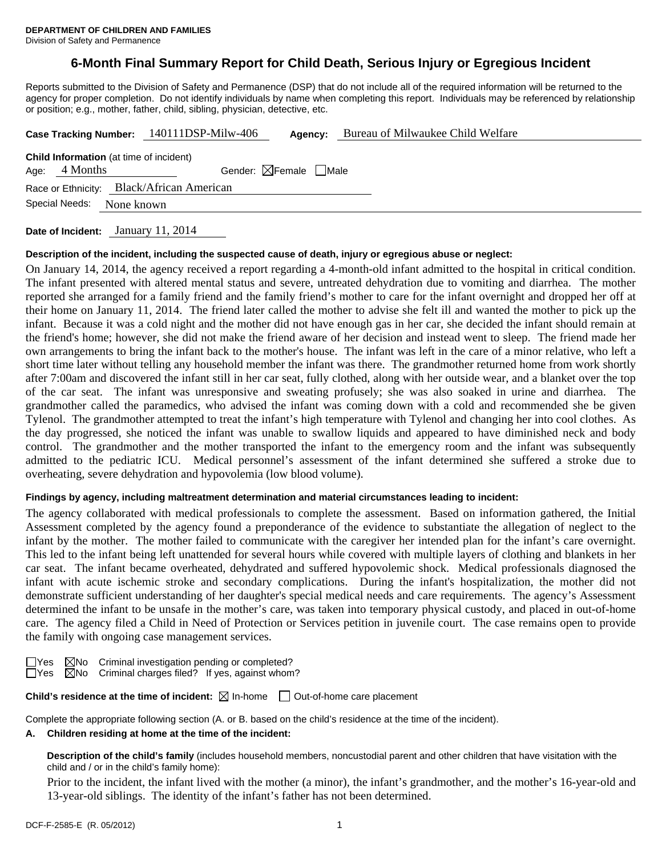# **6-Month Final Summary Report for Child Death, Serious Injury or Egregious Incident**

Reports submitted to the Division of Safety and Permanence (DSP) that do not include all of the required information will be returned to the agency for proper completion. Do not identify individuals by name when completing this report. Individuals may be referenced by relationship or position; e.g., mother, father, child, sibling, physician, detective, etc.

|                                                |                 | Case Tracking Number: 140111DSP-Milw-406 | Agency:                                | Bureau of Milwaukee Child Welfare |  |  |  |  |  |
|------------------------------------------------|-----------------|------------------------------------------|----------------------------------------|-----------------------------------|--|--|--|--|--|
| <b>Child Information</b> (at time of incident) |                 |                                          |                                        |                                   |  |  |  |  |  |
|                                                | Age: $4$ Months |                                          | Gender: $\boxtimes$ Female $\Box$ Male |                                   |  |  |  |  |  |
| Race or Ethnicity: Black/African American      |                 |                                          |                                        |                                   |  |  |  |  |  |
| Special Needs:<br>None known                   |                 |                                          |                                        |                                   |  |  |  |  |  |
|                                                |                 |                                          |                                        |                                   |  |  |  |  |  |

**Date of Incident:** January 11, 2014

#### **Description of the incident, including the suspected cause of death, injury or egregious abuse or neglect:**

On January 14, 2014, the agency received a report regarding a 4-month-old infant admitted to the hospital in critical condition. The infant presented with altered mental status and severe, untreated dehydration due to vomiting and diarrhea. The mother reported she arranged for a family friend and the family friend's mother to care for the infant overnight and dropped her off at their home on January 11, 2014. The friend later called the mother to advise she felt ill and wanted the mother to pick up the infant. Because it was a cold night and the mother did not have enough gas in her car, she decided the infant should remain at the friend's home; however, she did not make the friend aware of her decision and instead went to sleep. The friend made her own arrangements to bring the infant back to the mother's house. The infant was left in the care of a minor relative, who left a short time later without telling any household member the infant was there. The grandmother returned home from work shortly after 7:00am and discovered the infant still in her car seat, fully clothed, along with her outside wear, and a blanket over the top of the car seat. The infant was unresponsive and sweating profusely; she was also soaked in urine and diarrhea. The grandmother called the paramedics, who advised the infant was coming down with a cold and recommended she be given Tylenol. The grandmother attempted to treat the infant's high temperature with Tylenol and changing her into cool clothes. As the day progressed, she noticed the infant was unable to swallow liquids and appeared to have diminished neck and body control. The grandmother and the mother transported the infant to the emergency room and the infant was subsequently admitted to the pediatric ICU. Medical personnel's assessment of the infant determined she suffered a stroke due to overheating, severe dehydration and hypovolemia (low blood volume).

## **Findings by agency, including maltreatment determination and material circumstances leading to incident:**

The agency collaborated with medical professionals to complete the assessment. Based on information gathered, the Initial Assessment completed by the agency found a preponderance of the evidence to substantiate the allegation of neglect to the infant by the mother. The mother failed to communicate with the caregiver her intended plan for the infant's care overnight. This led to the infant being left unattended for several hours while covered with multiple layers of clothing and blankets in her car seat. The infant became overheated, dehydrated and suffered hypovolemic shock. Medical professionals diagnosed the infant with acute ischemic stroke and secondary complications. During the infant's hospitalization, the mother did not demonstrate sufficient understanding of her daughter's special medical needs and care requirements. The agency's Assessment determined the infant to be unsafe in the mother's care, was taken into temporary physical custody, and placed in out-of-home care. The agency filed a Child in Need of Protection or Services petition in juvenile court. The case remains open to provide the family with ongoing case management services.

 $\boxtimes$ No Criminal investigation pending or completed?

 $\Box$ Yes  $\Box$ No Criminal charges filed? If yes, against whom?

**Child's residence at the time of incident:**  $\boxtimes$  In-home  $\Box$  Out-of-home care placement

Complete the appropriate following section (A. or B. based on the child's residence at the time of the incident).

#### **A. Children residing at home at the time of the incident:**

**Description of the child's family** (includes household members, noncustodial parent and other children that have visitation with the child and / or in the child's family home):

 Prior to the incident, the infant lived with the mother (a minor), the infant's grandmother, and the mother's 16-year-old and 13-year-old siblings. The identity of the infant's father has not been determined.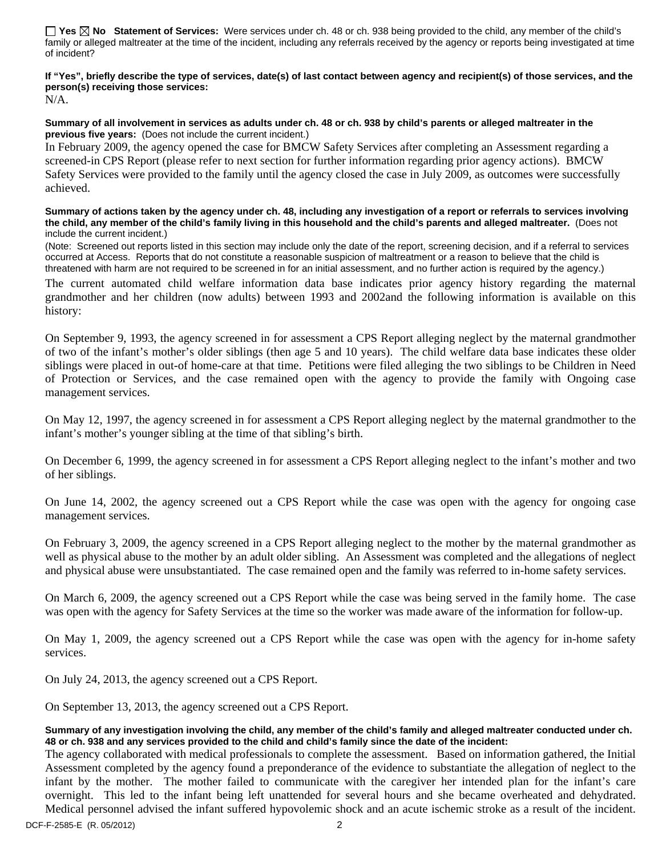**Yes No Statement of Services:** Were services under ch. 48 or ch. 938 being provided to the child, any member of the child's family or alleged maltreater at the time of the incident, including any referrals received by the agency or reports being investigated at time of incident?

## **If "Yes", briefly describe the type of services, date(s) of last contact between agency and recipient(s) of those services, and the person(s) receiving those services:**

N/A.

#### **Summary of all involvement in services as adults under ch. 48 or ch. 938 by child's parents or alleged maltreater in the previous five years:** (Does not include the current incident.)

In February 2009, the agency opened the case for BMCW Safety Services after completing an Assessment regarding a screened-in CPS Report (please refer to next section for further information regarding prior agency actions). BMCW Safety Services were provided to the family until the agency closed the case in July 2009, as outcomes were successfully achieved.

#### **Summary of actions taken by the agency under ch. 48, including any investigation of a report or referrals to services involving the child, any member of the child's family living in this household and the child's parents and alleged maltreater.** (Does not include the current incident.)

(Note: Screened out reports listed in this section may include only the date of the report, screening decision, and if a referral to services occurred at Access. Reports that do not constitute a reasonable suspicion of maltreatment or a reason to believe that the child is threatened with harm are not required to be screened in for an initial assessment, and no further action is required by the agency.)

The current automated child welfare information data base indicates prior agency history regarding the maternal grandmother and her children (now adults) between 1993 and 2002and the following information is available on this history:

On September 9, 1993, the agency screened in for assessment a CPS Report alleging neglect by the maternal grandmother of two of the infant's mother's older siblings (then age 5 and 10 years). The child welfare data base indicates these older siblings were placed in out-of home-care at that time. Petitions were filed alleging the two siblings to be Children in Need of Protection or Services, and the case remained open with the agency to provide the family with Ongoing case management services.

On May 12, 1997, the agency screened in for assessment a CPS Report alleging neglect by the maternal grandmother to the infant's mother's younger sibling at the time of that sibling's birth.

On December 6, 1999, the agency screened in for assessment a CPS Report alleging neglect to the infant's mother and two of her siblings.

On June 14, 2002, the agency screened out a CPS Report while the case was open with the agency for ongoing case management services.

On February 3, 2009, the agency screened in a CPS Report alleging neglect to the mother by the maternal grandmother as well as physical abuse to the mother by an adult older sibling. An Assessment was completed and the allegations of neglect and physical abuse were unsubstantiated. The case remained open and the family was referred to in-home safety services.

On March 6, 2009, the agency screened out a CPS Report while the case was being served in the family home. The case was open with the agency for Safety Services at the time so the worker was made aware of the information for follow-up.

On May 1, 2009, the agency screened out a CPS Report while the case was open with the agency for in-home safety services.

On July 24, 2013, the agency screened out a CPS Report.

On September 13, 2013, the agency screened out a CPS Report.

#### **Summary of any investigation involving the child, any member of the child's family and alleged maltreater conducted under ch. 48 or ch. 938 and any services provided to the child and child's family since the date of the incident:**

The agency collaborated with medical professionals to complete the assessment. Based on information gathered, the Initial Assessment completed by the agency found a preponderance of the evidence to substantiate the allegation of neglect to the infant by the mother. The mother failed to communicate with the caregiver her intended plan for the infant's care overnight. This led to the infant being left unattended for several hours and she became overheated and dehydrated. Medical personnel advised the infant suffered hypovolemic shock and an acute ischemic stroke as a result of the incident.